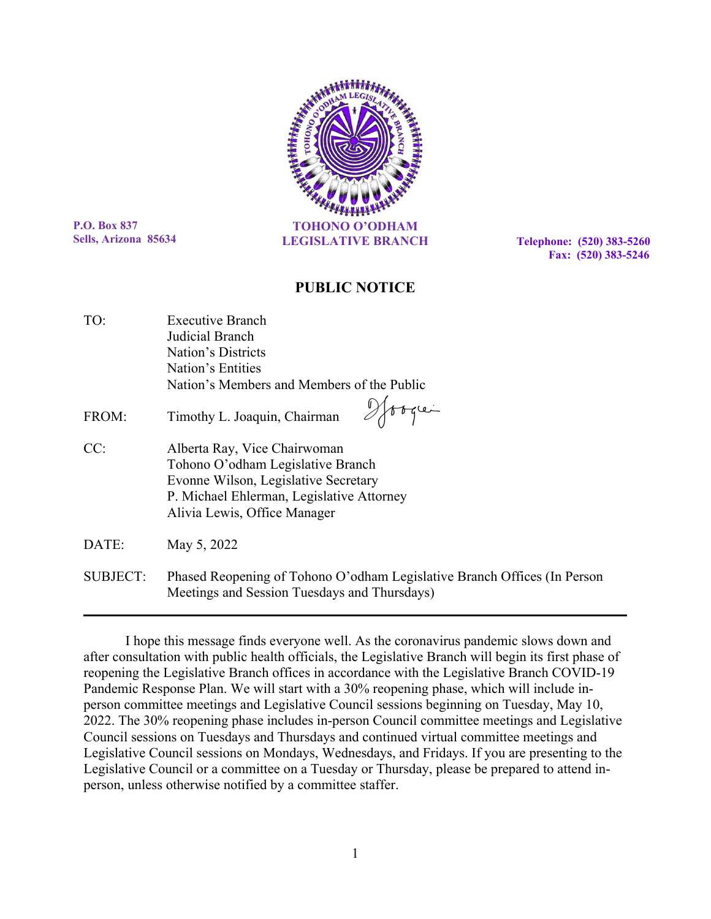

**P.O. Box 837 Sells, Arizona 85634**

 **Fax: (520) 383-5246**

## **PUBLIC NOTICE**

| TO:   | <b>Executive Branch</b>                                                                                                                                                                |
|-------|----------------------------------------------------------------------------------------------------------------------------------------------------------------------------------------|
|       | Judicial Branch                                                                                                                                                                        |
|       | Nation's Districts                                                                                                                                                                     |
|       | Nation's Entities                                                                                                                                                                      |
|       | Nation's Members and Members of the Public                                                                                                                                             |
| FROM: | Timothy L. Joaquin, Chairman                                                                                                                                                           |
| CC:   | Alberta Ray, Vice Chairwoman<br>Tohono O'odham Legislative Branch<br>Evonne Wilson, Legislative Secretary<br>P. Michael Ehlerman, Legislative Attorney<br>Alivia Lewis, Office Manager |
| DATE: | May 5, 2022                                                                                                                                                                            |

SUBJECT: Phased Reopening of Tohono O'odham Legislative Branch Offices (In Person Meetings and Session Tuesdays and Thursdays)

I hope this message finds everyone well. As the coronavirus pandemic slows down and after consultation with public health officials, the Legislative Branch will begin its first phase of reopening the Legislative Branch offices in accordance with the Legislative Branch COVID-19 Pandemic Response Plan. We will start with a 30% reopening phase, which will include inperson committee meetings and Legislative Council sessions beginning on Tuesday, May 10, 2022. The 30% reopening phase includes in-person Council committee meetings and Legislative Council sessions on Tuesdays and Thursdays and continued virtual committee meetings and Legislative Council sessions on Mondays, Wednesdays, and Fridays. If you are presenting to the Legislative Council or a committee on a Tuesday or Thursday, please be prepared to attend inperson, unless otherwise notified by a committee staffer.